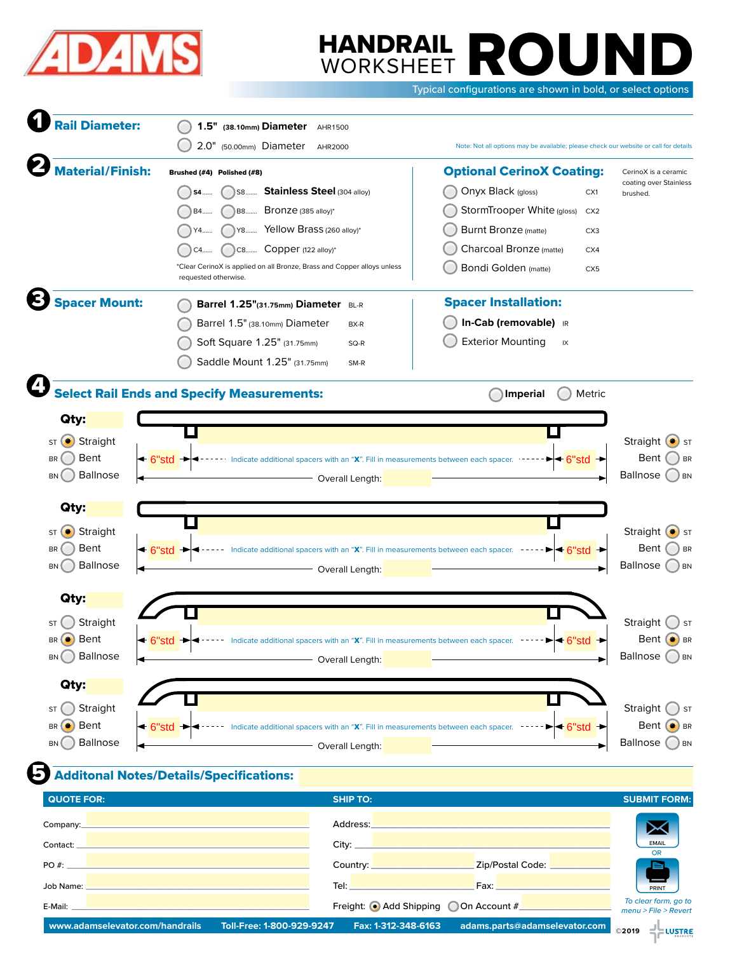

# WORKSHEET **ROUND**<br>WORKSHEET **ROUND** WORKSHEET

Typical configurations are shown in bold, or select options

| <b>Rail Diameter:</b>                                 | 1.5" (38.10mm) Diameter AHR1500                                                                                                                                                                                                      |                                                                                      |                                            |
|-------------------------------------------------------|--------------------------------------------------------------------------------------------------------------------------------------------------------------------------------------------------------------------------------------|--------------------------------------------------------------------------------------|--------------------------------------------|
|                                                       | 2.0" (50.00mm) Diameter<br>AHR2000                                                                                                                                                                                                   | Note: Not all options may be available; please check our website or call for details |                                            |
| <b>Material/Finish:</b><br>Brushed (#4) Polished (#8) |                                                                                                                                                                                                                                      | <b>Optional CerinoX Coating:</b>                                                     | CerinoX is a ceramic                       |
|                                                       | Stainless Steel (304 alloy)<br>S8<br>S4                                                                                                                                                                                              | Onyx Black (gloss)<br>CX1                                                            | coating over Stainless<br>brushed.         |
|                                                       | Bronze (385 alloy)*<br>B8<br>B4                                                                                                                                                                                                      | StormTrooper White (gloss)<br>CX <sub>2</sub>                                        |                                            |
|                                                       | Y8 Yellow Brass (260 alloy)*<br>Y4                                                                                                                                                                                                   | <b>Burnt Bronze</b> (matte)<br>CX <sub>3</sub>                                       |                                            |
|                                                       | C8 Copper (122 alloy)*<br>C4                                                                                                                                                                                                         | Charcoal Bronze (matte)<br>CX4                                                       |                                            |
|                                                       | *Clear CerinoX is applied on all Bronze, Brass and Copper alloys unless                                                                                                                                                              | <b>Bondi Golden</b> (matte)<br>CX <sub>5</sub>                                       |                                            |
|                                                       | requested otherwise.                                                                                                                                                                                                                 |                                                                                      |                                            |
| <b>Spacer Mount:</b>                                  | Barrel 1.25"(31.75mm) Diameter BL-R                                                                                                                                                                                                  | <b>Spacer Installation:</b>                                                          |                                            |
|                                                       | Barrel 1.5" (38.10mm) Diameter<br>BX-R                                                                                                                                                                                               | In-Cab (removable) IR                                                                |                                            |
|                                                       | Soft Square 1.25" (31.75mm)<br>SQ-R                                                                                                                                                                                                  | <b>Exterior Mounting</b><br>IX                                                       |                                            |
|                                                       | Saddle Mount 1.25" (31.75mm)<br>SM-R                                                                                                                                                                                                 |                                                                                      |                                            |
|                                                       |                                                                                                                                                                                                                                      |                                                                                      |                                            |
|                                                       | <b>Select Rail Ends and Specify Measurements:</b>                                                                                                                                                                                    | Metric<br><b>Imperial</b>                                                            |                                            |
| Qty:                                                  |                                                                                                                                                                                                                                      |                                                                                      |                                            |
| Straight<br>ST                                        |                                                                                                                                                                                                                                      |                                                                                      | Straight<br>$\left(\bullet\right)$ ST      |
| Bent<br><b>BR</b>                                     | Indicate additional spacers with an "X". Fill in measurements between each spacer.<br>← 6"std                                                                                                                                        | <b>►l← 6"std</b>                                                                     | Bent<br><b>BR</b>                          |
| <b>Ballnose</b><br><b>BN</b>                          | Overall Length:                                                                                                                                                                                                                      |                                                                                      | <b>Ballnose</b><br>) BN                    |
|                                                       |                                                                                                                                                                                                                                      |                                                                                      |                                            |
| Qty:                                                  |                                                                                                                                                                                                                                      |                                                                                      |                                            |
| Straight<br>$\left( \bullet \right)$<br>ST            |                                                                                                                                                                                                                                      |                                                                                      | Straight $\left( \bullet \right)$ str      |
| Bent<br><b>BR</b>                                     | Indicate additional spacers with an "X". Fill in measurements between each spacer.<br>$\triangleleft$ 6"std                                                                                                                          | $\triangleleft$ 6"std                                                                | Bent<br><b>BR</b>                          |
| <b>Ballnose</b><br><b>BN</b>                          | Overall Length:                                                                                                                                                                                                                      |                                                                                      | <b>Ballnose</b><br>) BN                    |
|                                                       |                                                                                                                                                                                                                                      |                                                                                      |                                            |
| Qty:                                                  |                                                                                                                                                                                                                                      |                                                                                      |                                            |
| Straight                                              |                                                                                                                                                                                                                                      |                                                                                      | Straight<br>ST                             |
| Bent<br>BR                                            | Indicate additional spacers with an "X". Fill in measurements between each spacer                                                                                                                                                    | $\blacktriangleright$ $\blacktriangleright$ 6                                        | Bent $\left( \bullet \right)$<br><b>BR</b> |
| Ballnose<br><b>BN</b><br>$\rightarrow$                | <b>Contract Controller Contract Contract Contract Contract Contract Contract Contract Contract Contract Contract Contract Contract Contract Contract Contract Contract Contract Contract Contract Contract Contract Contract Con</b> |                                                                                      | Ballnose OBN                               |
| Qty:                                                  |                                                                                                                                                                                                                                      |                                                                                      |                                            |
| Straight<br>ST                                        |                                                                                                                                                                                                                                      |                                                                                      | Straight (<br>$\bigcup$ ST                 |
| Bent<br>$\left( \bullet \right)$<br><b>BR</b>         | ← 6"std → <---- Indicate additional spacers with an "X". Fill in measurements between each spacer. ----- > < 6"std →                                                                                                                 |                                                                                      | Bent $\odot$ BR                            |
| Ballnose<br><b>BN</b>                                 | Overall Length:                                                                                                                                                                                                                      |                                                                                      | Ballnose OBN                               |
|                                                       |                                                                                                                                                                                                                                      |                                                                                      |                                            |
|                                                       | <b>Additonal Notes/Details/Specifications:</b>                                                                                                                                                                                       |                                                                                      |                                            |
| <b>QUOTE FOR:</b>                                     | <b>SHIP TO:</b>                                                                                                                                                                                                                      |                                                                                      | <b>SUBMIT FORM:</b>                        |
|                                                       | Company: <u>Design and Company: Company: Company: Company: Company: Company: Company: Company: Company: Company: Company: Company: Company: Company: Company: Company: Company: Company: Company: Company: Company: Company: Com</u> | Address: Andreas Address: Address: Address: Address: Address: Address: Address: A    |                                            |
|                                                       | Contact: New York of the Contact: New York of the Contact: New York of the Contact:                                                                                                                                                  |                                                                                      | ✕<br><b>EMAIL</b>                          |
|                                                       |                                                                                                                                                                                                                                      |                                                                                      | <b>OR</b>                                  |
|                                                       | PO#:                                                                                                                                                                                                                                 | Country: <u>Country:</u> 2ip/Postal Code: 2000.000                                   |                                            |
|                                                       | Job Name: New York State Assessment and the Contract of the Contract of the Contract of the Contract of the Contract of the Contract of the Contract of the Contract of the Contract of the Contract of the Contract of the Co       |                                                                                      | PRINT<br>To clear form, go to              |
| E-Mail: _                                             |                                                                                                                                                                                                                                      | Freight: Add Shipping O On Account #                                                 | menu > File > Revert                       |
| www.adamselevator.com/handrails                       | Toll-Free: 1-800-929-9247<br>Fax: 1-312-348-6163                                                                                                                                                                                     | adams.parts@adamselevator.com                                                        | ©2019 - LUSTRE                             |